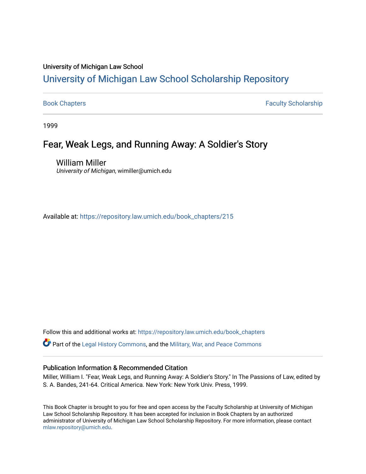### University of Michigan Law School

## [University of Michigan Law School Scholarship Repository](https://repository.law.umich.edu/)

[Book Chapters](https://repository.law.umich.edu/book_chapters) Faculty Scholarship

1999

## Fear, Weak Legs, and Running Away: A Soldier's Story

William Miller University of Michigan, wimiller@umich.edu

Available at: [https://repository.law.umich.edu/book\\_chapters/215](https://repository.law.umich.edu/book_chapters/215) 

Follow this and additional works at: [https://repository.law.umich.edu/book\\_chapters](https://repository.law.umich.edu/book_chapters?utm_source=repository.law.umich.edu%2Fbook_chapters%2F215&utm_medium=PDF&utm_campaign=PDFCoverPages)

Part of the [Legal History Commons](http://network.bepress.com/hgg/discipline/904?utm_source=repository.law.umich.edu%2Fbook_chapters%2F215&utm_medium=PDF&utm_campaign=PDFCoverPages), and the [Military, War, and Peace Commons](http://network.bepress.com/hgg/discipline/861?utm_source=repository.law.umich.edu%2Fbook_chapters%2F215&utm_medium=PDF&utm_campaign=PDFCoverPages) 

#### Publication Information & Recommended Citation

Miller, William I. "Fear, Weak Legs, and Running Away: A Soldier's Story." In The Passions of Law, edited by S. A. Bandes, 241-64. Critical America. New York: New York Univ. Press, 1999.

This Book Chapter is brought to you for free and open access by the Faculty Scholarship at University of Michigan Law School Scholarship Repository. It has been accepted for inclusion in Book Chapters by an authorized administrator of University of Michigan Law School Scholarship Repository. For more information, please contact [mlaw.repository@umich.edu.](mailto:mlaw.repository@umich.edu)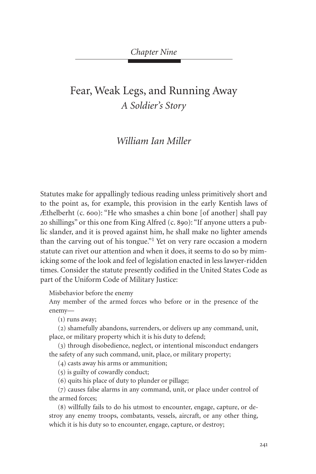*Chapter Nine*

# Fear, Weak Legs, and Running Away *A Soldier's Story*

## *William Ian Miller*

Statutes make for appallingly tedious reading unless primitively short and to the point as, for example, this provision in the early Kentish laws of Æthelberht (c. 600): "He who smashes a chin bone [of another] shall pay zo shillings" or this one from King Alfred  $(c. 890)$ : "If anyone utters a public slander, and it is proved against him, he shall make no lighter amends than the carving out of his tongue."<sup>1</sup> Yet on very rare occasion a modern statute can rivet our attention and when it does, it seems to do so by mimicking some of the look and feel of legislation enacted in less lawyer-ridden times. Consider the statute presently codified in the United States Code as part of the Uniform Code of Military Justice:

Misbehavior before the enemy

Any member of the armed forces who before or in the presence of the enemy—

 $(i)$  runs away;

(2) shamefully abandons, surrenders, or delivers up any command, unit, place, or military property which it is his duty to defend;

(3) through disobedience, neglect, or intentional misconduct endangers the safety of any such command, unit, place, or military property;

 $(4)$  casts away his arms or ammunition;

 $(5)$  is guilty of cowardly conduct;

 $(6)$  quits his place of duty to plunder or pillage;

 $(7)$  causes false alarms in any command, unit, or place under control of the armed forces;

(8) willfully fails to do his utmost to encounter, engage, capture, or destroy any enemy troops, combatants, vessels, aircraft, or any other thing, which it is his duty so to encounter, engage, capture, or destroy;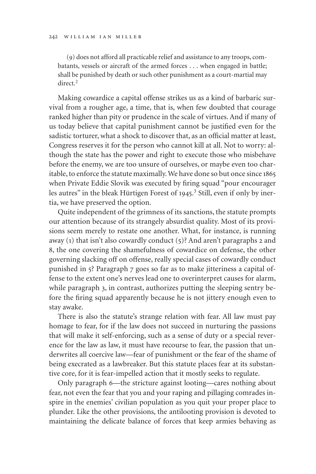() does not afford all practicable relief and assistance to any troops, combatants, vessels or aircraft of the armed forces . . . when engaged in battle; shall be punished by death or such other punishment as a court-martial may direct.<sup>2</sup>

Making cowardice a capital offense strikes us as a kind of barbaric survival from a rougher age, a time, that is, when few doubted that courage ranked higher than pity or prudence in the scale of virtues. And if many of us today believe that capital punishment cannot be justified even for the sadistic torturer, what a shock to discover that, as an official matter at least, Congress reserves it for the person who cannot kill at all. Not to worry: although the state has the power and right to execute those who misbehave before the enemy, we are too unsure of ourselves, or maybe even too charitable, to enforce the statute maximally. We have done so but once since when Private Eddie Slovik was executed by firing squad "pour encourager les autres" in the bleak Hürtigen Forest of 1945.<sup>3</sup> Still, even if only by inertia, we have preserved the option.

Quite independent of the grimness of its sanctions, the statute prompts our attention because of its strangely absurdist quality. Most of its provisions seem merely to restate one another. What, for instance, is running away (1) that isn't also cowardly conduct  $(5)$ ? And aren't paragraphs 2 and , the one covering the shamefulness of cowardice on defense, the other governing slacking off on offense, really special cases of cowardly conduct punished in 5? Paragraph 7 goes so far as to make jitteriness a capital offense to the extent one's nerves lead one to overinterpret causes for alarm, while paragraph 3, in contrast, authorizes putting the sleeping sentry before the firing squad apparently because he is not jittery enough even to stay awake.

There is also the statute's strange relation with fear. All law must pay homage to fear, for if the law does not succeed in nurturing the passions that will make it self-enforcing, such as a sense of duty or a special reverence for the law as law, it must have recourse to fear, the passion that underwrites all coercive law—fear of punishment or the fear of the shame of being execrated as a lawbreaker. But this statute places fear at its substantive core, for it is fear-impelled action that it mostly seeks to regulate.

Only paragraph 6—the stricture against looting—cares nothing about fear, not even the fear that you and your raping and pillaging comrades inspire in the enemies' civilian population as you quit your proper place to plunder. Like the other provisions, the antilooting provision is devoted to maintaining the delicate balance of forces that keep armies behaving as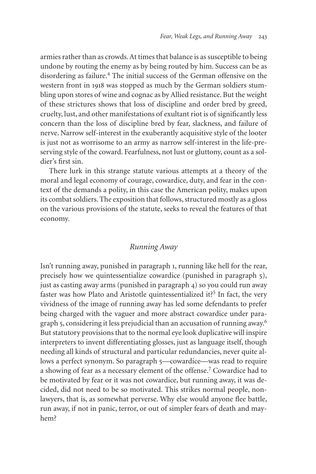armies rather than as crowds. At times that balance is as susceptible to being undone by routing the enemy as by being routed by him. Success can be as disordering as failure.<sup>4</sup> The initial success of the German offensive on the western front in 1918 was stopped as much by the German soldiers stumbling upon stores of wine and cognac as by Allied resistance. But the weight of these strictures shows that loss of discipline and order bred by greed, cruelty, lust, and other manifestations of exultant riot is of significantly less concern than the loss of discipline bred by fear, slackness, and failure of nerve. Narrow self-interest in the exuberantly acquisitive style of the looter is just not as worrisome to an army as narrow self-interest in the life-preserving style of the coward. Fearfulness, not lust or gluttony, count as a soldier's first sin.

There lurk in this strange statute various attempts at a theory of the moral and legal economy of courage, cowardice, duty, and fear in the context of the demands a polity, in this case the American polity, makes upon its combat soldiers. The exposition that follows, structured mostly as a gloss on the various provisions of the statute, seeks to reveal the features of that economy.

#### *Running Away*

Isn't running away, punished in paragraph 1, running like hell for the rear, precisely how we quintessentialize cowardice (punished in paragraph 5), just as casting away arms (punished in paragraph 4) so you could run away faster was how Plato and Aristotle quintessentialized it?<sup>5</sup> In fact, the very vividness of the image of running away has led some defendants to prefer being charged with the vaguer and more abstract cowardice under paragraph 5, considering it less prejudicial than an accusation of running away.<sup>6</sup> But statutory provisions that to the normal eye look duplicative will inspire interpreters to invent differentiating glosses, just as language itself, though needing all kinds of structural and particular redundancies, never quite allows a perfect synonym. So paragraph 5—cowardice—was read to require a showing of fear as a necessary element of the offense.<sup>7</sup> Cowardice had to be motivated by fear or it was not cowardice, but running away, it was decided, did not need to be so motivated. This strikes normal people, nonlawyers, that is, as somewhat perverse. Why else would anyone flee battle, run away, if not in panic, terror, or out of simpler fears of death and mayhem?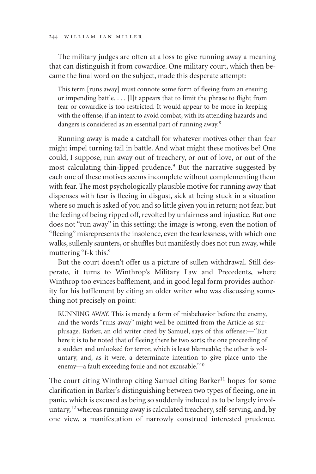The military judges are often at a loss to give running away a meaning that can distinguish it from cowardice. One military court, which then became the final word on the subject, made this desperate attempt:

This term [runs away] must connote some form of fleeing from an ensuing or impending battle.... [I]t appears that to limit the phrase to flight from fear or cowardice is too restricted. It would appear to be more in keeping with the offense, if an intent to avoid combat, with its attending hazards and dangers is considered as an essential part of running away.<sup>8</sup>

Running away is made a catchall for whatever motives other than fear might impel turning tail in battle. And what might these motives be? One could, I suppose, run away out of treachery, or out of love, or out of the most calculating thin-lipped prudence.<sup>9</sup> But the narrative suggested by each one of these motives seems incomplete without complementing them with fear. The most psychologically plausible motive for running away that dispenses with fear is fleeing in disgust, sick at being stuck in a situation where so much is asked of you and so little given you in return; not fear, but the feeling of being ripped off, revolted by unfairness and injustice. But one does not "run away" in this setting; the image is wrong, even the notion of "fleeing" misrepresents the insolence, even the fearlessness, with which one walks, sullenly saunters, or shuffles but manifestly does not run away, while muttering "f-k this."

But the court doesn't offer us a picture of sullen withdrawal. Still desperate, it turns to Winthrop's Military Law and Precedents, where Winthrop too evinces bafflement, and in good legal form provides authority for his bafflement by citing an older writer who was discussing something not precisely on point:

RUNNING AWAY. This is merely a form of misbehavior before the enemy, and the words "runs away" might well be omitted from the Article as surplusage. Barker, an old writer cited by Samuel, says of this offense:—"But here it is to be noted that of fleeing there be two sorts; the one proceeding of a sudden and unlooked for terror, which is least blameable; the other is voluntary, and, as it were, a determinate intention to give place unto the enemy—a fault exceeding foule and not excusable."10

The court citing Winthrop citing Samuel citing Barker<sup>11</sup> hopes for some clarification in Barker's distinguishing between two types of fleeing, one in panic, which is excused as being so suddenly induced as to be largely involuntary,<sup>12</sup> whereas running away is calculated treachery, self-serving, and, by one view, a manifestation of narrowly construed interested prudence.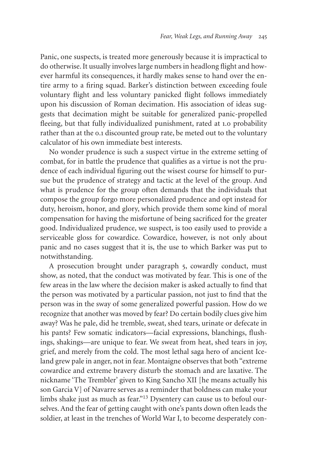Panic, one suspects, is treated more generously because it is impractical to do otherwise. It usually involves large numbers in headlong flight and however harmful its consequences, it hardly makes sense to hand over the entire army to a firing squad. Barker's distinction between exceeding foule voluntary flight and less voluntary panicked flight follows immediately upon his discussion of Roman decimation. His association of ideas suggests that decimation might be suitable for generalized panic-propelled fleeing, but that fully individualized punishment, rated at 1.0 probability rather than at the 0.1 discounted group rate, be meted out to the voluntary calculator of his own immediate best interests.

No wonder prudence is such a suspect virtue in the extreme setting of combat, for in battle the prudence that qualifies as a virtue is not the prudence of each individual figuring out the wisest course for himself to pursue but the prudence of strategy and tactic at the level of the group. And what is prudence for the group often demands that the individuals that compose the group forgo more personalized prudence and opt instead for duty, heroism, honor, and glory, which provide them some kind of moral compensation for having the misfortune of being sacrificed for the greater good. Individualized prudence, we suspect, is too easily used to provide a serviceable gloss for cowardice. Cowardice, however, is not only about panic and no cases suggest that it is, the use to which Barker was put to notwithstanding.

A prosecution brought under paragraph 5, cowardly conduct, must show, as noted, that the conduct was motivated by fear. This is one of the few areas in the law where the decision maker is asked actually to find that the person was motivated by a particular passion, not just to find that the person was in the sway of some generalized powerful passion. How do we recognize that another was moved by fear? Do certain bodily clues give him away? Was he pale, did he tremble, sweat, shed tears, urinate or defecate in his pants? Few somatic indicators—facial expressions, blanchings, flushings, shakings—are unique to fear. We sweat from heat, shed tears in joy, grief, and merely from the cold. The most lethal saga hero of ancient Iceland grew pale in anger, not in fear. Montaigne observes that both "extreme cowardice and extreme bravery disturb the stomach and are laxative. The nickname 'The Trembler' given to King Sancho XII [he means actually his son Garcia V] of Navarre serves as a reminder that boldness can make your limbs shake just as much as fear."13 Dysentery can cause us to befoul ourselves. And the fear of getting caught with one's pants down often leads the soldier, at least in the trenches of World War I, to become desperately con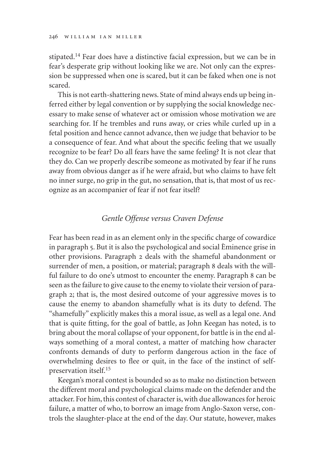stipated.<sup>14</sup> Fear does have a distinctive facial expression, but we can be in fear's desperate grip without looking like we are. Not only can the expression be suppressed when one is scared, but it can be faked when one is not scared.

This is not earth-shattering news. State of mind always ends up being inferred either by legal convention or by supplying the social knowledge necessary to make sense of whatever act or omission whose motivation we are searching for. If he trembles and runs away, or cries while curled up in a fetal position and hence cannot advance, then we judge that behavior to be a consequence of fear. And what about the specific feeling that we usually recognize to be fear? Do all fears have the same feeling? It is not clear that they do. Can we properly describe someone as motivated by fear if he runs away from obvious danger as if he were afraid, but who claims to have felt no inner surge, no grip in the gut, no sensation, that is, that most of us recognize as an accompanier of fear if not fear itself?

### *Gentle Offense versus Craven Defense*

Fear has been read in as an element only in the specific charge of cowardice in paragraph 5. But it is also the psychological and social Èminence grise in other provisions. Paragraph 2 deals with the shameful abandonment or surrender of men, a position, or material; paragraph 8 deals with the willful failure to do one's utmost to encounter the enemy. Paragraph 8 can be seen as the failure to give cause to the enemy to violate their version of paragraph 2; that is, the most desired outcome of your aggressive moves is to cause the enemy to abandon shamefully what is its duty to defend. The "shamefully" explicitly makes this a moral issue, as well as a legal one. And that is quite fitting, for the goal of battle, as John Keegan has noted, is to bring about the moral collapse of your opponent, for battle is in the end always something of a moral contest, a matter of matching how character confronts demands of duty to perform dangerous action in the face of overwhelming desires to flee or quit, in the face of the instinct of selfpreservation itself.<sup>15</sup>

Keegan's moral contest is bounded so as to make no distinction between the different moral and psychological claims made on the defender and the attacker. For him, this contest of character is, with due allowances for heroic failure, a matter of who, to borrow an image from Anglo-Saxon verse, controls the slaughter-place at the end of the day. Our statute, however, makes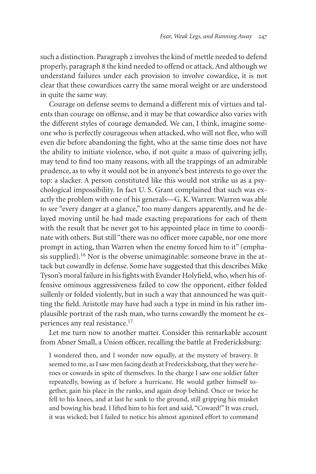such a distinction. Paragraph 2 involves the kind of mettle needed to defend properly, paragraph 8 the kind needed to offend or attack. And although we understand failures under each provision to involve cowardice, it is not clear that these cowardices carry the same moral weight or are understood in quite the same way.

Courage on defense seems to demand a different mix of virtues and talents than courage on offense, and it may be that cowardice also varies with the different styles of courage demanded. We can, I think, imagine someone who is perfectly courageous when attacked, who will not flee, who will even die before abandoning the fight, who at the same time does not have the ability to initiate violence, who, if not quite a mass of quivering jelly, may tend to find too many reasons, with all the trappings of an admirable prudence, as to why it would not be in anyone's best interests to go over the top: a slacker. A person constituted like this would not strike us as a psychological impossibility. In fact U. S. Grant complained that such was exactly the problem with one of his generals—G. K. Warren: Warren was able to see "every danger at a glance," too many dangers apparently, and he delayed moving until he had made exacting preparations for each of them with the result that he never got to his appointed place in time to coordinate with others. But still "there was no officer more capable, nor one more prompt in acting, than Warren when the enemy forced him to it" (emphasis supplied).16 Nor is the obverse unimaginable: someone brave in the attack but cowardly in defense. Some have suggested that this describes Mike Tyson's moral failure in his fights with Evander Holyfield, who, when his offensive ominous aggressiveness failed to cow the opponent, either folded sullenly or folded violently, but in such a way that announced he was quitting the field. Aristotle may have had such a type in mind in his rather implausible portrait of the rash man, who turns cowardly the moment he experiences any real resistance.17

Let me turn now to another matter. Consider this remarkable account from Abner Small, a Union officer, recalling the battle at Fredericksburg:

I wondered then, and I wonder now equally, at the mystery of bravery. It seemed to me, as I saw men facing death at Fredericksburg, that they were heroes or cowards in spite of themselves. In the charge I saw one soldier falter repeatedly, bowing as if before a hurricane. He would gather himself together, gain his place in the ranks, and again drop behind. Once or twice he fell to his knees, and at last he sank to the ground, still gripping his musket and bowing his head. I lifted him to his feet and said, "Coward!" It was cruel, it was wicked; but I failed to notice his almost agonized effort to command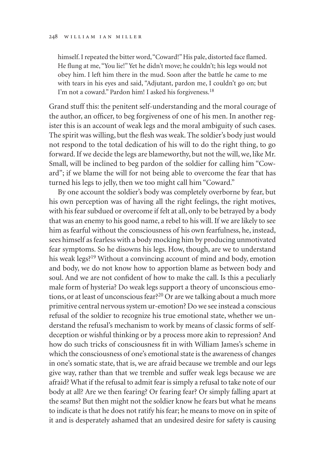himself. I repeated the bitter word, "Coward!" His pale, distorted face flamed. He flung at me, "You lie!" Yet he didn't move; he couldn't; his legs would not obey him. I left him there in the mud. Soon after the battle he came to me with tears in his eyes and said, "Adjutant, pardon me, I couldn't go on; but I'm not a coward." Pardon him! I asked his forgiveness.<sup>18</sup>

Grand stuff this: the penitent self-understanding and the moral courage of the author, an officer, to beg forgiveness of one of his men. In another register this is an account of weak legs and the moral ambiguity of such cases. The spirit was willing, but the flesh was weak. The soldier's body just would not respond to the total dedication of his will to do the right thing, to go forward. If we decide the legs are blameworthy, but not the will, we, like Mr. Small, will be inclined to beg pardon of the soldier for calling him "Coward"; if we blame the will for not being able to overcome the fear that has turned his legs to jelly, then we too might call him "Coward."

By one account the soldier's body was completely overborne by fear, but his own perception was of having all the right feelings, the right motives, with his fear subdued or overcome if felt at all, only to be betrayed by a body that was an enemy to his good name, a rebel to his will. If we are likely to see him as fearful without the consciousness of his own fearfulness, he, instead, sees himself as fearless with a body mocking him by producing unmotivated fear symptoms. So he disowns his legs. How, though, are we to understand his weak legs?<sup>19</sup> Without a convincing account of mind and body, emotion and body, we do not know how to apportion blame as between body and soul. And we are not confident of how to make the call. Is this a peculiarly male form of hysteria? Do weak legs support a theory of unconscious emotions, or at least of unconscious fear?<sup>20</sup> Or are we talking about a much more primitive central nervous system ur-emotion? Do we see instead a conscious refusal of the soldier to recognize his true emotional state, whether we understand the refusal's mechanism to work by means of classic forms of selfdeception or wishful thinking or by a process more akin to repression? And how do such tricks of consciousness fit in with William James's scheme in which the consciousness of one's emotional state is the awareness of changes in one's somatic state, that is, we are afraid because we tremble and our legs give way, rather than that we tremble and suffer weak legs because we are afraid? What if the refusal to admit fear is simply a refusal to take note of our body at all? Are we then fearing? Or fearing fear? Or simply falling apart at the seams? But then might not the soldier know he fears but what he means to indicate is that he does not ratify his fear; he means to move on in spite of it and is desperately ashamed that an undesired desire for safety is causing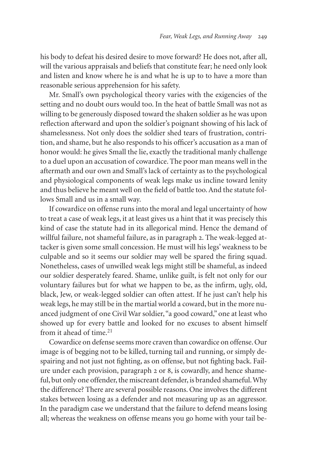his body to defeat his desired desire to move forward? He does not, after all, will the various appraisals and beliefs that constitute fear; he need only look and listen and know where he is and what he is up to to have a more than reasonable serious apprehension for his safety.

Mr. Small's own psychological theory varies with the exigencies of the setting and no doubt ours would too. In the heat of battle Small was not as willing to be generously disposed toward the shaken soldier as he was upon reflection afterward and upon the soldier's poignant showing of his lack of shamelessness. Not only does the soldier shed tears of frustration, contrition, and shame, but he also responds to his officer's accusation as a man of honor would: he gives Small the lie, exactly the traditional manly challenge to a duel upon an accusation of cowardice. The poor man means well in the aftermath and our own and Small's lack of certainty as to the psychological and physiological components of weak legs make us incline toward lenity and thus believe he meant well on the field of battle too. And the statute follows Small and us in a small way.

If cowardice on offense runs into the moral and legal uncertainty of how to treat a case of weak legs, it at least gives us a hint that it was precisely this kind of case the statute had in its allegorical mind. Hence the demand of willful failure, not shameful failure, as in paragraph 2. The weak-legged attacker is given some small concession. He must will his legs' weakness to be culpable and so it seems our soldier may well be spared the firing squad. Nonetheless, cases of unwilled weak legs might still be shameful, as indeed our soldier desperately feared. Shame, unlike guilt, is felt not only for our voluntary failures but for what we happen to be, as the infirm, ugly, old, black, Jew, or weak-legged soldier can often attest. If he just can't help his weak legs, he may still be in the martial world a coward, but in the more nuanced judgment of one Civil War soldier, "a good coward," one at least who showed up for every battle and looked for no excuses to absent himself from it ahead of time.<sup>21</sup>

Cowardice on defense seems more craven than cowardice on offense. Our image is of begging not to be killed, turning tail and running, or simply despairing and not just not fighting, as on offense, but not fighting back. Failure under each provision, paragraph 2 or 8, is cowardly, and hence shameful, but only one offender, the miscreant defender, is branded shameful. Why the difference? There are several possible reasons. One involves the different stakes between losing as a defender and not measuring up as an aggressor. In the paradigm case we understand that the failure to defend means losing all; whereas the weakness on offense means you go home with your tail be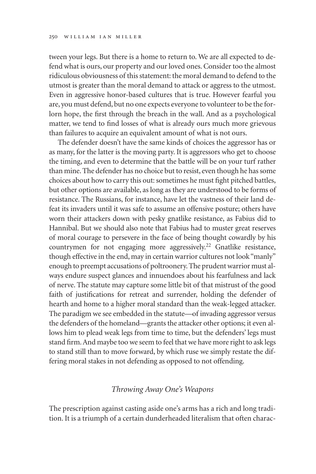tween your legs. But there is a home to return to. We are all expected to defend what is ours, our property and our loved ones. Consider too the almost ridiculous obviousness of this statement: the moral demand to defend to the utmost is greater than the moral demand to attack or aggress to the utmost. Even in aggressive honor-based cultures that is true. However fearful you are, you must defend, but no one expects everyone to volunteer to be the forlorn hope, the first through the breach in the wall. And as a psychological matter, we tend to find losses of what is already ours much more grievous than failures to acquire an equivalent amount of what is not ours.

The defender doesn't have the same kinds of choices the aggressor has or as many, for the latter is the moving party. It is aggressors who get to choose the timing, and even to determine that the battle will be on your turf rather than mine. The defender has no choice but to resist, even though he has some choices about how to carry this out: sometimes he must fight pitched battles, but other options are available, as long as they are understood to be forms of resistance. The Russians, for instance, have let the vastness of their land defeat its invaders until it was safe to assume an offensive posture; others have worn their attackers down with pesky gnatlike resistance, as Fabius did to Hannibal. But we should also note that Fabius had to muster great reserves of moral courage to persevere in the face of being thought cowardly by his countrymen for not engaging more aggressively.<sup>22</sup> Gnatlike resistance, though effective in the end, may in certain warrior cultures not look "manly" enough to preempt accusations of poltroonery. The prudent warrior must always endure suspect glances and innuendoes about his fearfulness and lack of nerve. The statute may capture some little bit of that mistrust of the good faith of justifications for retreat and surrender, holding the defender of hearth and home to a higher moral standard than the weak-legged attacker. The paradigm we see embedded in the statute—of invading aggressor versus the defenders of the homeland—grants the attacker other options; it even allows him to plead weak legs from time to time, but the defenders' legs must stand firm. And maybe too we seem to feel that we have more right to ask legs to stand still than to move forward, by which ruse we simply restate the differing moral stakes in not defending as opposed to not offending.

#### *Throwing Away One's Weapons*

The prescription against casting aside one's arms has a rich and long tradition. It is a triumph of a certain dunderheaded literalism that often charac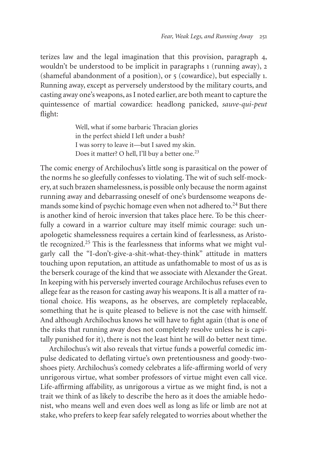terizes law and the legal imagination that this provision, paragraph 4, wouldn't be understood to be implicit in paragraphs 1 (running away), 2 (shameful abandonment of a position), or  $\frac{1}{2}$  (cowardice), but especially 1. Running away, except as perversely understood by the military courts, and casting away one's weapons, as I noted earlier, are both meant to capture the quintessence of martial cowardice: headlong panicked, *sauve-qui-peut* flight:

> Well, what if some barbaric Thracian glories in the perfect shield I left under a bush? I was sorry to leave it—but I saved my skin. Does it matter? O hell, I'll buy a better one.<sup>23</sup>

The comic energy of Archilochus's little song is parasitical on the power of the norms he so gleefully confesses to violating. The wit of such self-mockery, at such brazen shamelessness, is possible only because the norm against running away and debarrassing oneself of one's burdensome weapons demands some kind of psychic homage even when not adhered to.<sup>24</sup> But there is another kind of heroic inversion that takes place here. To be this cheerfully a coward in a warrior culture may itself mimic courage: such unapologetic shamelessness requires a certain kind of fearlessness, as Aristotle recognized.<sup>25</sup> This is the fearlessness that informs what we might vulgarly call the "I-don't-give-a-shit-what-they-think" attitude in matters touching upon reputation, an attitude as unfathomable to most of us as is the berserk courage of the kind that we associate with Alexander the Great. In keeping with his perversely inverted courage Archilochus refuses even to allege fear as the reason for casting away his weapons. It is all a matter of rational choice. His weapons, as he observes, are completely replaceable, something that he is quite pleased to believe is not the case with himself. And although Archilochus knows he will have to fight again (that is one of the risks that running away does not completely resolve unless he is capitally punished for it), there is not the least hint he will do better next time.

Archilochus's wit also reveals that virtue funds a powerful comedic impulse dedicated to deflating virtue's own pretentiousness and goody-twoshoes piety. Archilochus's comedy celebrates a life-affirming world of very unrigorous virtue, what somber professors of virtue might even call vice. Life-affirming affability, as unrigorous a virtue as we might find, is not a trait we think of as likely to describe the hero as it does the amiable hedonist, who means well and even does well as long as life or limb are not at stake, who prefers to keep fear safely relegated to worries about whether the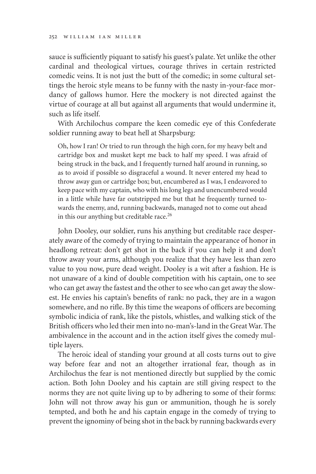sauce is sufficiently piquant to satisfy his guest's palate. Yet unlike the other cardinal and theological virtues, courage thrives in certain restricted comedic veins. It is not just the butt of the comedic; in some cultural settings the heroic style means to be funny with the nasty in-your-face mordancy of gallows humor. Here the mockery is not directed against the virtue of courage at all but against all arguments that would undermine it, such as life itself.

With Archilochus compare the keen comedic eye of this Confederate soldier running away to beat hell at Sharpsburg:

Oh, how I ran! Or tried to run through the high corn, for my heavy belt and cartridge box and musket kept me back to half my speed. I was afraid of being struck in the back, and I frequently turned half around in running, so as to avoid if possible so disgraceful a wound. It never entered my head to throw away gun or cartridge box; but, encumbered as I was, I endeavored to keep pace with my captain, who with his long legs and unencumbered would in a little while have far outstripped me but that he frequently turned towards the enemy, and, running backwards, managed not to come out ahead in this our anything but creditable race.<sup>26</sup>

John Dooley, our soldier, runs his anything but creditable race desperately aware of the comedy of trying to maintain the appearance of honor in headlong retreat: don't get shot in the back if you can help it and don't throw away your arms, although you realize that they have less than zero value to you now, pure dead weight. Dooley is a wit after a fashion. He is not unaware of a kind of double competition with his captain, one to see who can get away the fastest and the other to see who can get away the slowest. He envies his captain's benefits of rank: no pack, they are in a wagon somewhere, and no rifle. By this time the weapons of officers are becoming symbolic indicia of rank, like the pistols, whistles, and walking stick of the British officers who led their men into no-man's-land in the Great War. The ambivalence in the account and in the action itself gives the comedy multiple layers.

The heroic ideal of standing your ground at all costs turns out to give way before fear and not an altogether irrational fear, though as in Archilochus the fear is not mentioned directly but supplied by the comic action. Both John Dooley and his captain are still giving respect to the norms they are not quite living up to by adhering to some of their forms: John will not throw away his gun or ammunition, though he is sorely tempted, and both he and his captain engage in the comedy of trying to prevent the ignominy of being shot in the back by running backwards every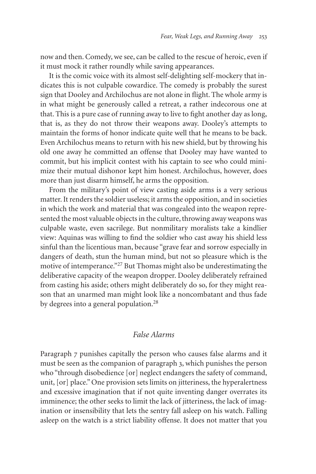now and then. Comedy, we see, can be called to the rescue of heroic, even if it must mock it rather roundly while saving appearances.

It is the comic voice with its almost self-delighting self-mockery that indicates this is not culpable cowardice. The comedy is probably the surest sign that Dooley and Archilochus are not alone in flight. The whole army is in what might be generously called a retreat, a rather indecorous one at that. This is a pure case of running away to live to fight another day as long, that is, as they do not throw their weapons away. Dooley's attempts to maintain the forms of honor indicate quite well that he means to be back. Even Archilochus means to return with his new shield, but by throwing his old one away he committed an offense that Dooley may have wanted to commit, but his implicit contest with his captain to see who could minimize their mutual dishonor kept him honest. Archilochus, however, does more than just disarm himself, he arms the opposition.

From the military's point of view casting aside arms is a very serious matter. It renders the soldier useless; it arms the opposition, and in societies in which the work and material that was congealed into the weapon represented the most valuable objects in the culture, throwing away weapons was culpable waste, even sacrilege. But nonmilitary moralists take a kindlier view: Aquinas was willing to find the soldier who cast away his shield less sinful than the licentious man, because "grave fear and sorrow especially in dangers of death, stun the human mind, but not so pleasure which is the motive of intemperance."<sup>27</sup> But Thomas might also be underestimating the deliberative capacity of the weapon dropper. Dooley deliberately refrained from casting his aside; others might deliberately do so, for they might reason that an unarmed man might look like a noncombatant and thus fade by degrees into a general population.<sup>28</sup>

#### *False Alarms*

Paragraph 7 punishes capitally the person who causes false alarms and it must be seen as the companion of paragraph 3, which punishes the person who "through disobedience [or] neglect endangers the safety of command, unit, [or] place." One provision sets limits on jitteriness, the hyperalertness and excessive imagination that if not quite inventing danger overrates its imminence; the other seeks to limit the lack of jitteriness, the lack of imagination or insensibility that lets the sentry fall asleep on his watch. Falling asleep on the watch is a strict liability offense. It does not matter that you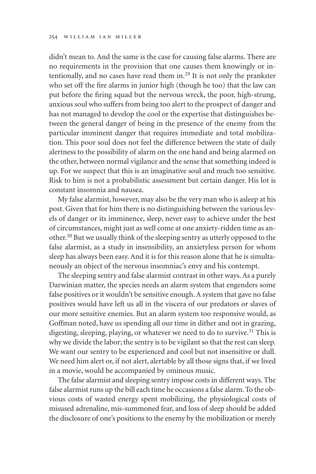didn't mean to. And the same is the case for causing false alarms. There are no requirements in the provision that one causes them knowingly or intentionally, and no cases have read them in.<sup>29</sup> It is not only the prankster who set off the fire alarms in junior high (though he too) that the law can put before the firing squad but the nervous wreck, the poor, high-strung, anxious soul who suffers from being too alert to the prospect of danger and has not managed to develop the cool or the expertise that distinguishes between the general danger of being in the presence of the enemy from the particular imminent danger that requires immediate and total mobilization. This poor soul does not feel the difference between the state of daily alertness to the possibility of alarm on the one hand and being alarmed on the other, between normal vigilance and the sense that something indeed is up. For we suspect that this is an imaginative soul and much too sensitive. Risk to him is not a probabilistic assessment but certain danger. His lot is constant insomnia and nausea.

My false alarmist, however, may also be the very man who is asleep at his post. Given that for him there is no distinguishing between the various levels of danger or its imminence, sleep, never easy to achieve under the best of circumstances, might just as well come at one anxiety-ridden time as another.30 But we usually think of the sleeping sentry as utterly opposed to the false alarmist, as a study in insensibility, an anxietyless person for whom sleep has always been easy. And it is for this reason alone that he is simultaneously an object of the nervous insomniac's envy and his contempt.

The sleeping sentry and false alarmist contrast in other ways. As a purely Darwinian matter, the species needs an alarm system that engenders some false positives or it wouldn't be sensitive enough. A system that gave no false positives would have left us all in the viscera of our predators or slaves of our more sensitive enemies. But an alarm system too responsive would, as Goffman noted, have us spending all our time in dither and not in grazing, digesting, sleeping, playing, or whatever we need to do to survive.<sup>31</sup> This is why we divide the labor; the sentry is to be vigilant so that the rest can sleep. We want our sentry to be experienced and cool but not insensitive or dull. We need him alert or, if not alert, alertable by all those signs that, if we lived in a movie, would be accompanied by ominous music.

The false alarmist and sleeping sentry impose costs in different ways. The false alarmist runs up the bill each time he occasions a false alarm. To the obvious costs of wasted energy spent mobilizing, the physiological costs of misused adrenaline, mis-summoned fear, and loss of sleep should be added the disclosure of one's positions to the enemy by the mobilization or merely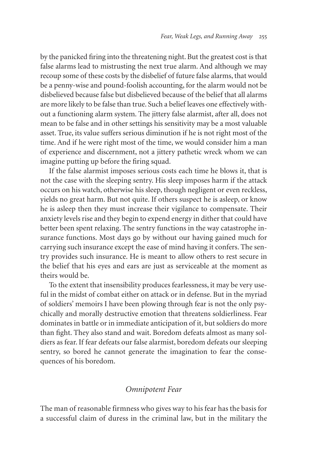by the panicked firing into the threatening night. But the greatest cost is that false alarms lead to mistrusting the next true alarm. And although we may recoup some of these costs by the disbelief of future false alarms, that would be a penny-wise and pound-foolish accounting, for the alarm would not be disbelieved because false but disbelieved because of the belief that all alarms are more likely to be false than true. Such a belief leaves one effectively without a functioning alarm system. The jittery false alarmist, after all, does not mean to be false and in other settings his sensitivity may be a most valuable asset. True, its value suffers serious diminution if he is not right most of the time. And if he were right most of the time, we would consider him a man of experience and discernment, not a jittery pathetic wreck whom we can imagine putting up before the firing squad.

If the false alarmist imposes serious costs each time he blows it, that is not the case with the sleeping sentry. His sleep imposes harm if the attack occurs on his watch, otherwise his sleep, though negligent or even reckless, yields no great harm. But not quite. If others suspect he is asleep, or know he is asleep then they must increase their vigilance to compensate. Their anxiety levels rise and they begin to expend energy in dither that could have better been spent relaxing. The sentry functions in the way catastrophe insurance functions. Most days go by without our having gained much for carrying such insurance except the ease of mind having it confers. The sentry provides such insurance. He is meant to allow others to rest secure in the belief that his eyes and ears are just as serviceable at the moment as theirs would be.

To the extent that insensibility produces fearlessness, it may be very useful in the midst of combat either on attack or in defense. But in the myriad of soldiers' memoirs I have been plowing through fear is not the only psychically and morally destructive emotion that threatens soldierliness. Fear dominates in battle or in immediate anticipation of it, but soldiers do more than fight. They also stand and wait. Boredom defeats almost as many soldiers as fear. If fear defeats our false alarmist, boredom defeats our sleeping sentry, so bored he cannot generate the imagination to fear the consequences of his boredom.

### *Omnipotent Fear*

The man of reasonable firmness who gives way to his fear has the basis for a successful claim of duress in the criminal law, but in the military the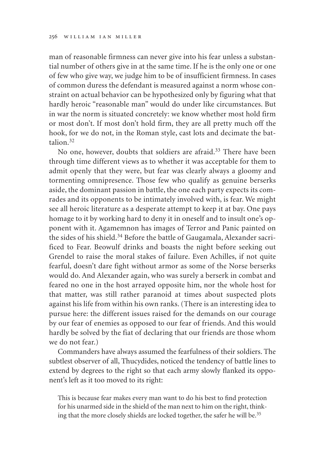man of reasonable firmness can never give into his fear unless a substantial number of others give in at the same time. If he is the only one or one of few who give way, we judge him to be of insufficient firmness. In cases of common duress the defendant is measured against a norm whose constraint on actual behavior can be hypothesized only by figuring what that hardly heroic "reasonable man" would do under like circumstances. But in war the norm is situated concretely: we know whether most hold firm or most don't. If most don't hold firm, they are all pretty much off the hook, for we do not, in the Roman style, cast lots and decimate the battalion.<sup>32</sup>

No one, however, doubts that soldiers are afraid.<sup>33</sup> There have been through time different views as to whether it was acceptable for them to admit openly that they were, but fear was clearly always a gloomy and tormenting omnipresence. Those few who qualify as genuine berserks aside, the dominant passion in battle, the one each party expects its comrades and its opponents to be intimately involved with, is fear. We might see all heroic literature as a desperate attempt to keep it at bay. One pays homage to it by working hard to deny it in oneself and to insult one's opponent with it. Agamemnon has images of Terror and Panic painted on the sides of his shield. $34$  Before the battle of Gaugamala, Alexander sacrificed to Fear. Beowulf drinks and boasts the night before seeking out Grendel to raise the moral stakes of failure. Even Achilles, if not quite fearful, doesn't dare fight without armor as some of the Norse berserks would do. And Alexander again, who was surely a berserk in combat and feared no one in the host arrayed opposite him, nor the whole host for that matter, was still rather paranoid at times about suspected plots against his life from within his own ranks. (There is an interesting idea to pursue here: the different issues raised for the demands on our courage by our fear of enemies as opposed to our fear of friends. And this would hardly be solved by the fiat of declaring that our friends are those whom we do not fear.)

Commanders have always assumed the fearfulness of their soldiers. The subtlest observer of all, Thucydides, noticed the tendency of battle lines to extend by degrees to the right so that each army slowly flanked its opponent's left as it too moved to its right:

This is because fear makes every man want to do his best to find protection for his unarmed side in the shield of the man next to him on the right, thinking that the more closely shields are locked together, the safer he will be.<sup>35</sup>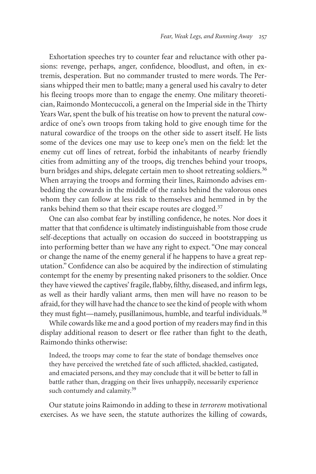Exhortation speeches try to counter fear and reluctance with other pasions: revenge, perhaps, anger, confidence, bloodlust, and often, in extremis, desperation. But no commander trusted to mere words. The Persians whipped their men to battle; many a general used his cavalry to deter his fleeing troops more than to engage the enemy. One military theoretician, Raimondo Montecuccoli, a general on the Imperial side in the Thirty Years War, spent the bulk of his treatise on how to prevent the natural cowardice of one's own troops from taking hold to give enough time for the natural cowardice of the troops on the other side to assert itself. He lists some of the devices one may use to keep one's men on the field: let the enemy cut off lines of retreat, forbid the inhabitants of nearby friendly cities from admitting any of the troops, dig trenches behind your troops, burn bridges and ships, delegate certain men to shoot retreating soldiers.<sup>36</sup> When arraying the troops and forming their lines, Raimondo advises embedding the cowards in the middle of the ranks behind the valorous ones whom they can follow at less risk to themselves and hemmed in by the ranks behind them so that their escape routes are clogged.<sup>37</sup>

One can also combat fear by instilling confidence, he notes. Nor does it matter that that confidence is ultimately indistinguishable from those crude self-deceptions that actually on occasion do succeed in bootstrapping us into performing better than we have any right to expect. "One may conceal or change the name of the enemy general if he happens to have a great reputation." Confidence can also be acquired by the indirection of stimulating contempt for the enemy by presenting naked prisoners to the soldier. Once they have viewed the captives' fragile, flabby, filthy, diseased, and infirm legs, as well as their hardly valiant arms, then men will have no reason to be afraid, for they will have had the chance to see the kind of people with whom they must fight—namely, pusillanimous, humble, and tearful individuals.<sup>38</sup>

While cowards like me and a good portion of my readers may find in this display additional reason to desert or flee rather than fight to the death, Raimondo thinks otherwise:

Indeed, the troops may come to fear the state of bondage themselves once they have perceived the wretched fate of such afflicted, shackled, castigated, and emaciated persons, and they may conclude that it will be better to fall in battle rather than, dragging on their lives unhappily, necessarily experience such contumely and calamity.<sup>39</sup>

Our statute joins Raimondo in adding to these in *terrorem* motivational exercises. As we have seen, the statute authorizes the killing of cowards,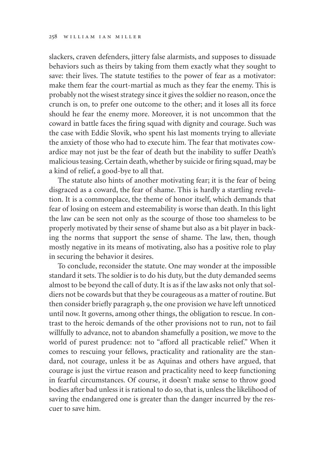slackers, craven defenders, jittery false alarmists, and supposes to dissuade behaviors such as theirs by taking from them exactly what they sought to save: their lives. The statute testifies to the power of fear as a motivator: make them fear the court-martial as much as they fear the enemy. This is probably not the wisest strategy since it gives the soldier no reason, once the crunch is on, to prefer one outcome to the other; and it loses all its force should he fear the enemy more. Moreover, it is not uncommon that the coward in battle faces the firing squad with dignity and courage. Such was the case with Eddie Slovik, who spent his last moments trying to alleviate the anxiety of those who had to execute him. The fear that motivates cowardice may not just be the fear of death but the inability to suffer Death's malicious teasing. Certain death, whether by suicide or firing squad, may be a kind of relief, a good-bye to all that.

The statute also hints of another motivating fear; it is the fear of being disgraced as a coward, the fear of shame. This is hardly a startling revelation. It is a commonplace, the theme of honor itself, which demands that fear of losing on esteem and esteemability is worse than death. In this light the law can be seen not only as the scourge of those too shameless to be properly motivated by their sense of shame but also as a bit player in backing the norms that support the sense of shame. The law, then, though mostly negative in its means of motivating, also has a positive role to play in securing the behavior it desires.

To conclude, reconsider the statute. One may wonder at the impossible standard it sets. The soldier is to do his duty, but the duty demanded seems almost to be beyond the call of duty. It is as if the law asks not only that soldiers not be cowards but that they be courageous as a matter of routine. But then consider briefly paragraph 9, the one provision we have left unnoticed until now. It governs, among other things, the obligation to rescue. In contrast to the heroic demands of the other provisions not to run, not to fail willfully to advance, not to abandon shamefully a position, we move to the world of purest prudence: not to "afford all practicable relief." When it comes to rescuing your fellows, practicality and rationality are the standard, not courage, unless it be as Aquinas and others have argued, that courage is just the virtue reason and practicality need to keep functioning in fearful circumstances. Of course, it doesn't make sense to throw good bodies after bad unless it is rational to do so, that is, unless the likelihood of saving the endangered one is greater than the danger incurred by the rescuer to save him.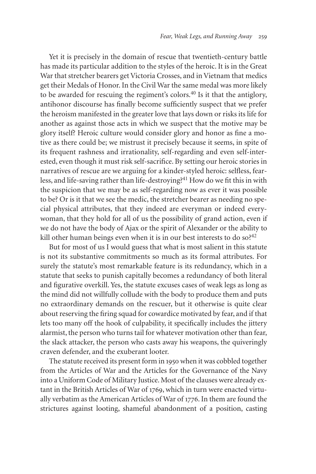Yet it is precisely in the domain of rescue that twentieth-century battle has made its particular addition to the styles of the heroic. It is in the Great War that stretcher bearers get Victoria Crosses, and in Vietnam that medics get their Medals of Honor. In the Civil War the same medal was more likely to be awarded for rescuing the regiment's colors. $40$  Is it that the antiglory, antihonor discourse has finally become sufficiently suspect that we prefer the heroism manifested in the greater love that lays down or risks its life for another as against those acts in which we suspect that the motive may be glory itself? Heroic culture would consider glory and honor as fine a motive as there could be; we mistrust it precisely because it seems, in spite of its frequent rashness and irrationality, self-regarding and even self-interested, even though it must risk self-sacrifice. By setting our heroic stories in narratives of rescue are we arguing for a kinder-styled heroic: selfless, fearless, and life-saving rather than life-destroying?<sup>41</sup> How do we fit this in with the suspicion that we may be as self-regarding now as ever it was possible to be? Or is it that we see the medic, the stretcher bearer as needing no special physical attributes, that they indeed are everyman or indeed everywoman, that they hold for all of us the possibility of grand action, even if we do not have the body of Ajax or the spirit of Alexander or the ability to kill other human beings even when it is in our best interests to do so? $42$ 

But for most of us I would guess that what is most salient in this statute is not its substantive commitments so much as its formal attributes. For surely the statute's most remarkable feature is its redundancy, which in a statute that seeks to punish capitally becomes a redundancy of both literal and figurative overkill. Yes, the statute excuses cases of weak legs as long as the mind did not willfully collude with the body to produce them and puts no extraordinary demands on the rescuer, but it otherwise is quite clear about reserving the firing squad for cowardice motivated by fear, and if that lets too many off the hook of culpability, it specifically includes the jittery alarmist, the person who turns tail for whatever motivation other than fear, the slack attacker, the person who casts away his weapons, the quiveringly craven defender, and the exuberant looter.

The statute received its present form in 1950 when it was cobbled together from the Articles of War and the Articles for the Governance of the Navy into a Uniform Code of Military Justice. Most of the clauses were already extant in the British Articles of War of 1769, which in turn were enacted virtually verbatim as the American Articles of War of 1776. In them are found the strictures against looting, shameful abandonment of a position, casting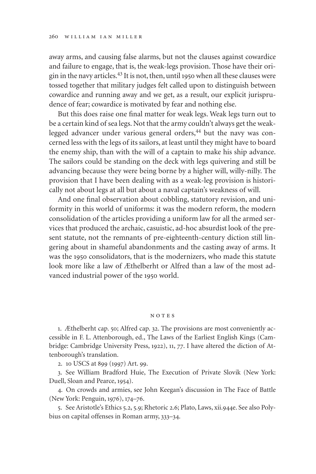away arms, and causing false alarms, but not the clauses against cowardice and failure to engage, that is, the weak-legs provision. Those have their origin in the navy articles.<sup>43</sup> It is not, then, until 1950 when all these clauses were tossed together that military judges felt called upon to distinguish between cowardice and running away and we get, as a result, our explicit jurisprudence of fear; cowardice is motivated by fear and nothing else.

But this does raise one final matter for weak legs. Weak legs turn out to be a certain kind of sea legs. Not that the army couldn't always get the weaklegged advancer under various general orders, $44$  but the navy was concerned less with the legs of its sailors, at least until they might have to board the enemy ship, than with the will of a captain to make his ship advance. The sailors could be standing on the deck with legs quivering and still be advancing because they were being borne by a higher will, willy-nilly. The provision that I have been dealing with as a weak-leg provision is historically not about legs at all but about a naval captain's weakness of will.

And one final observation about cobbling, statutory revision, and uniformity in this world of uniforms: it was the modern reform, the modern consolidation of the articles providing a uniform law for all the armed services that produced the archaic, casuistic, ad-hoc absurdist look of the present statute, not the remnants of pre-eighteenth-century diction still lingering about in shameful abandonments and the casting away of arms. It was the 1950 consolidators, that is the modernizers, who made this statute look more like a law of Æthelberht or Alfred than a law of the most advanced industrial power of the 1950 world.

#### notes

1. Æthelberht cap. 50; Alfred cap. 32. The provisions are most conveniently accessible in F. L. Attenborough, ed., The Laws of the Earliest English Kings (Cambridge: Cambridge University Press, 1922), 11, 77. I have altered the diction of Attenborough's translation.

2. 10 USCS at 899 (1997) Art. 99.

. See William Bradford Huie, The Execution of Private Slovik (New York: Duell, Sloan and Pearce, 1954).

. On crowds and armies, see John Keegan's discussion in The Face of Battle (New York: Penguin, 1976), 174–76.

5. See Aristotle's Ethics 5.2, 5.9; Rhetoric 2.6; Plato, Laws, xii.944e. See also Polybius on capital offenses in Roman army, 333-34.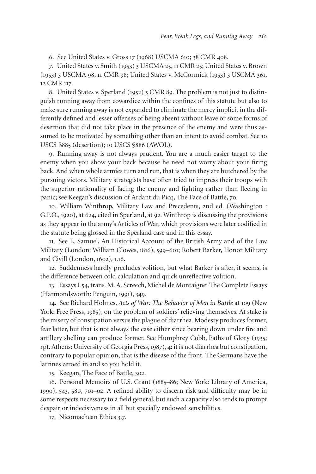6. See United States v. Gross 17 (1968) USCMA 610; 38 CMR 408.

7. United States v. Smith (1953) 3 USCMA 25, 11 CMR 25; United States v. Brown (1953) 3 USCMA 98, 11 CMR 98; United States v. McCormick (1953) 3 USCMA 361, 12 CMR 117.

8. United States v. Sperland  $(1952)$  5 CMR 89. The problem is not just to distinguish running away from cowardice within the confines of this statute but also to make sure running away is not expanded to eliminate the mercy implicit in the differently defined and lesser offenses of being absent without leave or some forms of desertion that did not take place in the presence of the enemy and were thus assumed to be motivated by something other than an intent to avoid combat. See 10 USCS  $$885$  (desertion); to USCS  $$886$  (AWOL).

. Running away is not always prudent. You are a much easier target to the enemy when you show your back because he need not worry about your firing back. And when whole armies turn and run, that is when they are butchered by the pursuing victors. Military strategists have often tried to impress their troops with the superior rationality of facing the enemy and fighting rather than fleeing in panic; see Keegan's discussion of Ardant du Picq, The Face of Battle, 70.

10. William Winthrop, Military Law and Precedents, 2nd ed. (Washington: G.P.O., 1920), at 624, cited in Sperland, at 92. Winthrop is discussing the provisions as they appear in the army's Articles of War, which provisions were later codified in the statute being glossed in the Sperland case and in this essay.

. See E. Samuel, An Historical Account of the British Army and of the Law Military (London: William Clowes, 1816), 599-601; Robert Barker, Honor Military and Civill (London, 1602), 1.16.

. Suddenness hardly precludes volition, but what Barker is after, it seems, is the difference between cold calculation and quick unreflective volition.

13. Essays I.54, trans. M. A. Screech, Michel de Montaigne: The Complete Essays  $(Harmondsworth: Penguin, 1991), 349.$ 

14. See Richard Holmes, *Acts of War: The Behavior of Men in Battle* at 109 (New York: Free Press, 1985), on the problem of soldiers' relieving themselves. At stake is the misery of constipation versus the plague of diarrhea. Modesty produces former, fear latter, but that is not always the case either since bearing down under fire and artillery shelling can produce former. See Humphrey Cobb, Paths of Glory (1935; rpt. Athens: University of Georgia Press, 1987), 4: it is not diarrhea but constipation, contrary to popular opinion, that is the disease of the front. The Germans have the latrines zeroed in and so you hold it.

15. Keegan, The Face of Battle, 302.

16. Personal Memoirs of U.S. Grant (1885-86; New York: Library of America,  $1990$ ), 543, 580, 701–02. A refined ability to discern risk and difficulty may be in some respects necessary to a field general, but such a capacity also tends to prompt despair or indecisiveness in all but specially endowed sensibilities.

17. Nicomachean Ethics 3.7.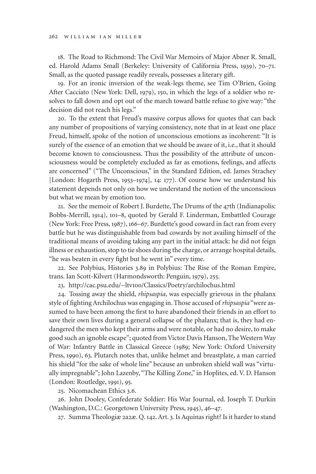. The Road to Richmond: The Civil War Memoirs of Major Abner R. Small, ed. Harold Adams Small (Berkeley: University of California Press, 1939), 70-71. Small, as the quoted passage readily reveals, possesses a literary gift.

. For an ironic inversion of the weak-legs theme, see Tim O'Brien, Going After Cacciato (New York: Dell, 1979), 150, in which the legs of a soldier who resolves to fall down and opt out of the march toward battle refuse to give way: "the decision did not reach his legs."

. To the extent that Freud's massive corpus allows for quotes that can back any number of propositions of varying consistency, note that in at least one place Freud, himself, spoke of the notion of unconscious emotions as incoherent: "It is surely of the essence of an emotion that we should be aware of it, i.e., that it should become known to consciousness. Thus the possibility of the attribute of unconsciousness would be completely excluded as far as emotions, feelings, and affects are concerned" ("The Unconscious," in the Standard Edition, ed. James Strachey [London: Hogarth Press, 1953-1974], 14: 177). Of course how we understand his statement depends not only on how we understand the notion of the unconscious but what we mean by emotion too.

21. See the memoir of Robert J. Burdette, The Drums of the 47th (Indianapolis: Bobbs-Merrill, 1914), 101-8, quoted by Gerald F. Linderman, Embattled Courage (New York: Free Press, 1987), 166-67. Burdette's good coward in fact ran from every battle but he was distinguishable from bad cowards by not availing himself of the traditional means of avoiding taking any part in the initial attack: he did not feign illness or exhaustion, stop to tie shoes during the charge, or arrange hospital details, "he was beaten in every fight but he went in" every time.

22. See Polybius, Histories 3.89 in Polybius: The Rise of the Roman Empire, trans. Ian Scott-Kilvert (Harmondsworth: Penguin, 1979), 255.

23. http://cac.psu.edu/~ltv100/Classics/Poetry/archilochus.html

. Tossing away the shield, *rhipsaspia*, was especially grievous in the phalanx style of fighting Archilochus was engaging in. Those accused of *rhipsaspia* "were assumed to have been among the first to have abandoned their friends in an effort to save their own lives during a general collapse of the phalanx; that is, they had endangered the men who kept their arms and were notable, or had no desire, to make good such an ignoble escape"; quoted from Victor Davis Hanson, The Western Way of War: Infantry Battle in Classical Greece (1989; New York: Oxford University Press, 1990), 63. Plutarch notes that, unlike helmet and breastplate, a man carried his shield "for the sake of whole line" because an unbroken shield wall was "virtually impregnable"; John Lazenby, "The Killing Zone," in Hoplites, ed. V. D. Hanson (London: Routledge, 1991), 95.

25. Nicomachean Ethics 3.6.

. John Dooley, Confederate Soldier: His War Journal, ed. Joseph T. Durkin (Washington, D.C.: Georgetown University Press, 1945), 46-47.

27. Summa Theologiæ 2a2æ. Q. 142. Art. 3. Is Aquinas right? Is it harder to stand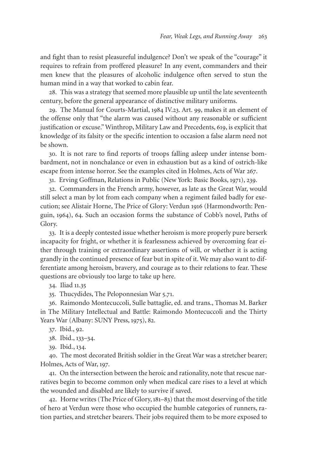and fight than to resist pleasureful indulgence? Don't we speak of the "courage" it requires to refrain from proffered pleasure? In any event, commanders and their men knew that the pleasures of alcoholic indulgence often served to stun the human mind in a way that worked to cabin fear.

. This was a strategy that seemed more plausible up until the late seventeenth century, before the general appearance of distinctive military uniforms.

29. The Manual for Courts-Martial, 1984 IV.23. Art. 99, makes it an element of the offense only that "the alarm was caused without any reasonable or sufficient justification or excuse." Winthrop, Military Law and Precedents, 619, is explicit that knowledge of its falsity or the specific intention to occasion a false alarm need not be shown.

. It is not rare to find reports of troops falling asleep under intense bombardment, not in nonchalance or even in exhaustion but as a kind of ostrich-like escape from intense horror. See the examples cited in Holmes, Acts of War 267.

31. Erving Goffman, Relations in Public (New York: Basic Books, 1971), 239.

. Commanders in the French army, however, as late as the Great War, would still select a man by lot from each company when a regiment failed badly for execution; see Alistair Horne, The Price of Glory: Verdun 1916 (Harmondworth: Penguin, 1964), 64. Such an occasion forms the substance of Cobb's novel, Paths of Glory.

. It is a deeply contested issue whether heroism is more properly pure berserk incapacity for fright, or whether it is fearlessness achieved by overcoming fear either through training or extraordinary assertions of will, or whether it is acting grandly in the continued presence of fear but in spite of it. We may also want to differentiate among heroism, bravery, and courage as to their relations to fear. These questions are obviously too large to take up here.

34. Iliad 11.35

35. Thucydides, The Peloponnesian War 5.71.

. Raimondo Montecuccoli, Sulle battaglie, ed. and trans., Thomas M. Barker in The Military Intellectual and Battle: Raimondo Montecuccoli and the Thirty Years War (Albany: SUNY Press, 1975), 82.

37. Ibid., 92.

38. Ibid., 133-34.

39. Ibid., 134.

. The most decorated British soldier in the Great War was a stretcher bearer; Holmes, Acts of War, 197.

. On the intersection between the heroic and rationality, note that rescue narratives begin to become common only when medical care rises to a level at which the wounded and disabled are likely to survive if saved.

. Horne writes (The Price of Glory,–) that the most deserving of the title of hero at Verdun were those who occupied the humble categories of runners, ration parties, and stretcher bearers. Their jobs required them to be more exposed to